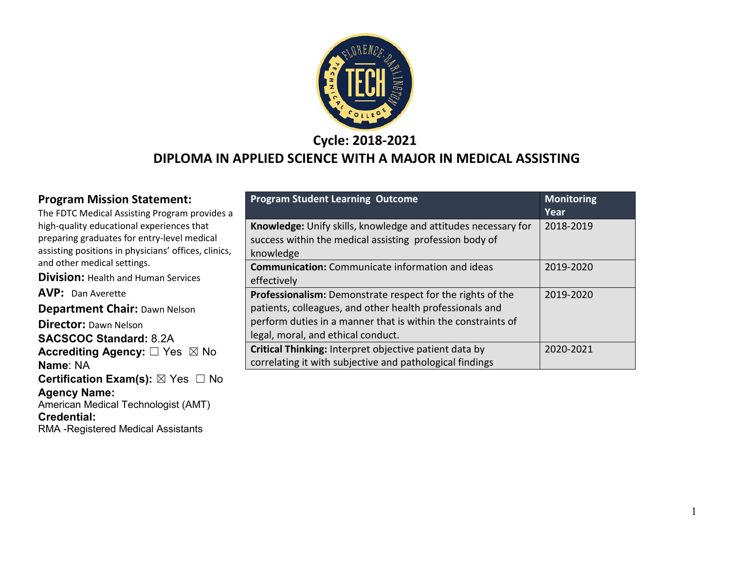

**Cycle: 2018-2021**

### **DIPLOMA IN APPLIED SCIENCE WITH A MAJOR IN MEDICAL ASSISTING**

#### **Program Mission Statement:**

The FDTC Medical Assisting Program provides a high-quality educational experiences that preparing graduates for entry-level medical assisting positions in physicians' offices, clinics, and other medical settings.

**Division:** Health and Human Services

**AVP:** Dan Averette

**Department Chair:** Dawn Nelson

**Director:** Dawn Nelson **SACSCOC Standard:** 8.2A **Accrediting Agency:** ☐ Yes ☒ No **Name**: NA **Certification Exam(s):** ⊠ Yes □ No **Agency Name:**  American Medical Technologist (AMT) **Credential:** RMA -Registered Medical Assistants

| <b>Program Student Learning Outcome</b>                                                                                                                                                                                             | <b>Monitoring</b><br>Year |
|-------------------------------------------------------------------------------------------------------------------------------------------------------------------------------------------------------------------------------------|---------------------------|
| Knowledge: Unify skills, knowledge and attitudes necessary for<br>success within the medical assisting profession body of<br>knowledge                                                                                              | 2018-2019                 |
| <b>Communication:</b> Communicate information and ideas<br>effectively                                                                                                                                                              | 2019-2020                 |
| <b>Professionalism:</b> Demonstrate respect for the rights of the<br>patients, colleagues, and other health professionals and<br>perform duties in a manner that is within the constraints of<br>legal, moral, and ethical conduct. | 2019-2020                 |
| Critical Thinking: Interpret objective patient data by<br>correlating it with subjective and pathological findings                                                                                                                  | 2020-2021                 |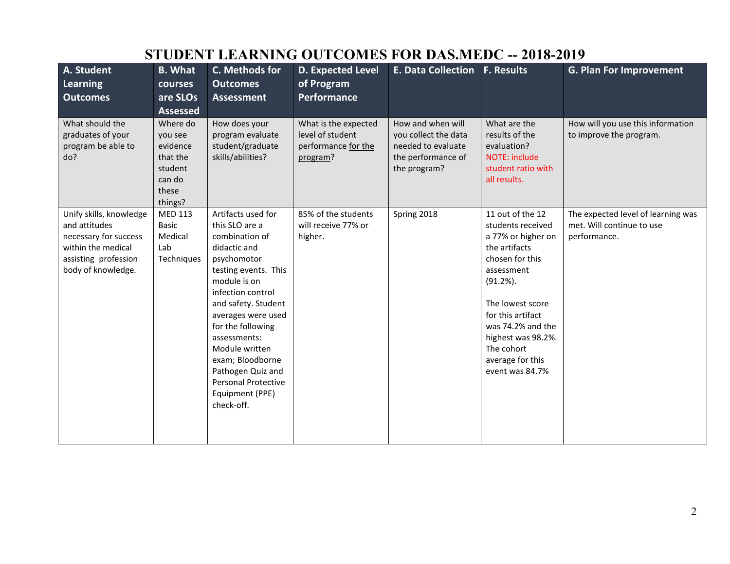| STUDENT EEANNING OUTCOMES FON DAS.MEDU -- 2010-2017                                                                                   |                                                                                      |                                                                                                                                                                                                                                                                                                                                                                |                                                                             |                                                                                                       |                                                                                                                                                                                                                                                                        |                                                                                 |
|---------------------------------------------------------------------------------------------------------------------------------------|--------------------------------------------------------------------------------------|----------------------------------------------------------------------------------------------------------------------------------------------------------------------------------------------------------------------------------------------------------------------------------------------------------------------------------------------------------------|-----------------------------------------------------------------------------|-------------------------------------------------------------------------------------------------------|------------------------------------------------------------------------------------------------------------------------------------------------------------------------------------------------------------------------------------------------------------------------|---------------------------------------------------------------------------------|
| A. Student                                                                                                                            | <b>B.</b> What                                                                       | C. Methods for                                                                                                                                                                                                                                                                                                                                                 | <b>D. Expected Level</b>                                                    | <b>E. Data Collection F. Results</b>                                                                  |                                                                                                                                                                                                                                                                        | <b>G. Plan For Improvement</b>                                                  |
| Learning                                                                                                                              | courses                                                                              | <b>Outcomes</b>                                                                                                                                                                                                                                                                                                                                                | of Program                                                                  |                                                                                                       |                                                                                                                                                                                                                                                                        |                                                                                 |
| <b>Outcomes</b>                                                                                                                       | are SLOs                                                                             | <b>Assessment</b>                                                                                                                                                                                                                                                                                                                                              | <b>Performance</b>                                                          |                                                                                                       |                                                                                                                                                                                                                                                                        |                                                                                 |
|                                                                                                                                       | <b>Assessed</b>                                                                      |                                                                                                                                                                                                                                                                                                                                                                |                                                                             |                                                                                                       |                                                                                                                                                                                                                                                                        |                                                                                 |
| What should the<br>graduates of your<br>program be able to<br>do?                                                                     | Where do<br>you see<br>evidence<br>that the<br>student<br>can do<br>these<br>things? | How does your<br>program evaluate<br>student/graduate<br>skills/abilities?                                                                                                                                                                                                                                                                                     | What is the expected<br>level of student<br>performance for the<br>program? | How and when will<br>you collect the data<br>needed to evaluate<br>the performance of<br>the program? | What are the<br>results of the<br>evaluation?<br><b>NOTE: include</b><br>student ratio with<br>all results.                                                                                                                                                            | How will you use this information<br>to improve the program.                    |
| Unify skills, knowledge<br>and attitudes<br>necessary for success<br>within the medical<br>assisting profession<br>body of knowledge. | <b>MED 113</b><br>Basic<br>Medical<br>Lab<br>Techniques                              | Artifacts used for<br>this SLO are a<br>combination of<br>didactic and<br>psychomotor<br>testing events. This<br>module is on<br>infection control<br>and safety. Student<br>averages were used<br>for the following<br>assessments:<br>Module written<br>exam; Bloodborne<br>Pathogen Quiz and<br><b>Personal Protective</b><br>Equipment (PPE)<br>check-off. | 85% of the students<br>will receive 77% or<br>higher.                       | Spring 2018                                                                                           | 11 out of the 12<br>students received<br>a 77% or higher on<br>the artifacts<br>chosen for this<br>assessment<br>$(91.2\%)$ .<br>The lowest score<br>for this artifact<br>was 74.2% and the<br>highest was 98.2%.<br>The cohort<br>average for this<br>event was 84.7% | The expected level of learning was<br>met. Will continue to use<br>performance. |

## **STUDENT LEARNING OUTCOMES FOR DAS MEDC -- 2018-2010**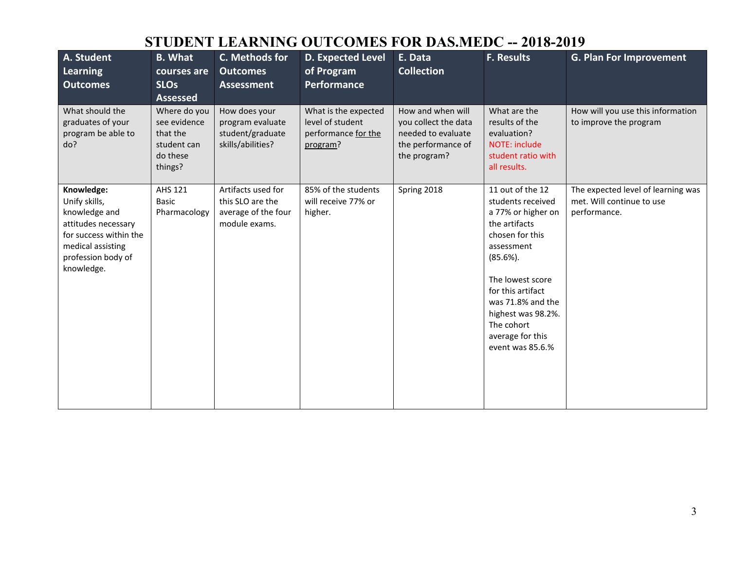## **STUDENT LEARNING OUTCOMES FOR DAS.MEDC -- 2018-2019**

| A. Student<br>Learning<br><b>Outcomes</b>                                                                                                              | <b>B.</b> What<br>courses are<br><b>SLOs</b><br><b>Assessed</b>                | C. Methods for<br><b>Outcomes</b><br><b>Assessment</b>                         | <b>D. Expected Level</b><br>of Program<br>Performance                       | E. Data<br><b>Collection</b>                                                                          | <b>F. Results</b>                                                                                                                                                                                                                                                      | <b>G. Plan For Improvement</b>                                                  |
|--------------------------------------------------------------------------------------------------------------------------------------------------------|--------------------------------------------------------------------------------|--------------------------------------------------------------------------------|-----------------------------------------------------------------------------|-------------------------------------------------------------------------------------------------------|------------------------------------------------------------------------------------------------------------------------------------------------------------------------------------------------------------------------------------------------------------------------|---------------------------------------------------------------------------------|
| What should the<br>graduates of your<br>program be able to<br>do?                                                                                      | Where do you<br>see evidence<br>that the<br>student can<br>do these<br>things? | How does your<br>program evaluate<br>student/graduate<br>skills/abilities?     | What is the expected<br>level of student<br>performance for the<br>program? | How and when will<br>you collect the data<br>needed to evaluate<br>the performance of<br>the program? | What are the<br>results of the<br>evaluation?<br>NOTE: include<br>student ratio with<br>all results.                                                                                                                                                                   | How will you use this information<br>to improve the program                     |
| Knowledge:<br>Unify skills,<br>knowledge and<br>attitudes necessary<br>for success within the<br>medical assisting<br>profession body of<br>knowledge. | <b>AHS 121</b><br><b>Basic</b><br>Pharmacology                                 | Artifacts used for<br>this SLO are the<br>average of the four<br>module exams. | 85% of the students<br>will receive 77% or<br>higher.                       | Spring 2018                                                                                           | 11 out of the 12<br>students received<br>a 77% or higher on<br>the artifacts<br>chosen for this<br>assessment<br>$(85.6\%).$<br>The lowest score<br>for this artifact<br>was 71.8% and the<br>highest was 98.2%.<br>The cohort<br>average for this<br>event was 85.6.% | The expected level of learning was<br>met. Will continue to use<br>performance. |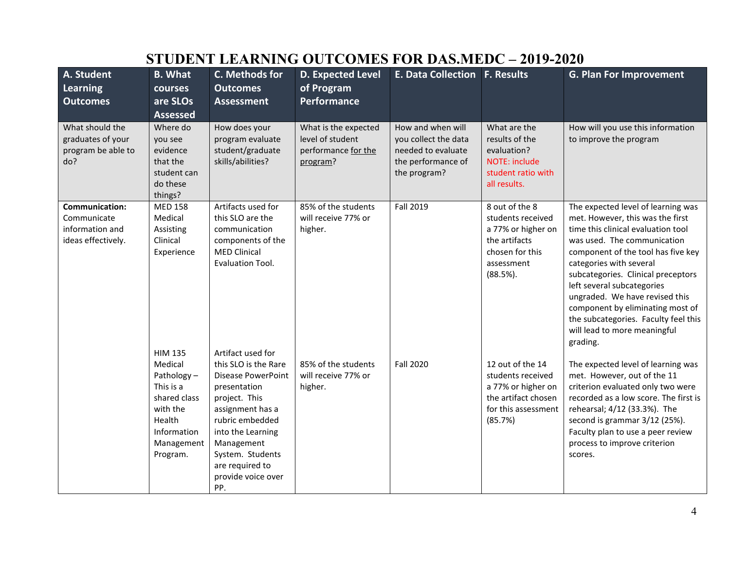| A. Student<br>Learning<br><b>Outcomes</b>                              | <b>B.</b> What<br>courses<br>are SLOs<br><b>Assessed</b>                                                          | C. Methods for<br><b>Outcomes</b><br><b>Assessment</b>                                                                                                                                                                           | <b>D. Expected Level</b><br>of Program<br><b>Performance</b>                | <b>E. Data Collection F. Results</b>                                                                  |                                                                                                                             | <b>G. Plan For Improvement</b>                                                                                                                                                                                                                                                                                                                                                                                                             |
|------------------------------------------------------------------------|-------------------------------------------------------------------------------------------------------------------|----------------------------------------------------------------------------------------------------------------------------------------------------------------------------------------------------------------------------------|-----------------------------------------------------------------------------|-------------------------------------------------------------------------------------------------------|-----------------------------------------------------------------------------------------------------------------------------|--------------------------------------------------------------------------------------------------------------------------------------------------------------------------------------------------------------------------------------------------------------------------------------------------------------------------------------------------------------------------------------------------------------------------------------------|
| What should the<br>graduates of your<br>program be able to<br>do?      | Where do<br>you see<br>evidence<br>that the<br>student can<br>do these<br>things?                                 | How does your<br>program evaluate<br>student/graduate<br>skills/abilities?                                                                                                                                                       | What is the expected<br>level of student<br>performance for the<br>program? | How and when will<br>you collect the data<br>needed to evaluate<br>the performance of<br>the program? | What are the<br>results of the<br>evaluation?<br><b>NOTE: include</b><br>student ratio with<br>all results.                 | How will you use this information<br>to improve the program                                                                                                                                                                                                                                                                                                                                                                                |
| Communication:<br>Communicate<br>information and<br>ideas effectively. | <b>MED 158</b><br>Medical<br>Assisting<br>Clinical<br>Experience<br><b>HIM 135</b>                                | Artifacts used for<br>this SLO are the<br>communication<br>components of the<br><b>MED Clinical</b><br>Evaluation Tool.<br>Artifact used for                                                                                     | 85% of the students<br>will receive 77% or<br>higher.                       | Fall 2019                                                                                             | 8 out of the 8<br>students received<br>a 77% or higher on<br>the artifacts<br>chosen for this<br>assessment<br>$(88.5\%)$ . | The expected level of learning was<br>met. However, this was the first<br>time this clinical evaluation tool<br>was used. The communication<br>component of the tool has five key<br>categories with several<br>subcategories. Clinical preceptors<br>left several subcategories<br>ungraded. We have revised this<br>component by eliminating most of<br>the subcategories. Faculty feel this<br>will lead to more meaningful<br>grading. |
|                                                                        | Medical<br>Pathology-<br>This is a<br>shared class<br>with the<br>Health<br>Information<br>Management<br>Program. | this SLO is the Rare<br><b>Disease PowerPoint</b><br>presentation<br>project. This<br>assignment has a<br>rubric embedded<br>into the Learning<br>Management<br>System. Students<br>are required to<br>provide voice over<br>PP. | 85% of the students<br>will receive 77% or<br>higher.                       | <b>Fall 2020</b>                                                                                      | 12 out of the 14<br>students received<br>a 77% or higher on<br>the artifact chosen<br>for this assessment<br>(85.7%)        | The expected level of learning was<br>met. However, out of the 11<br>criterion evaluated only two were<br>recorded as a low score. The first is<br>rehearsal; 4/12 (33.3%). The<br>second is grammar 3/12 (25%).<br>Faculty plan to use a peer review<br>process to improve criterion<br>scores.                                                                                                                                           |

# **STUDENT LEARNING OUTCOMES FOR DAS.MEDC – 2019-2020**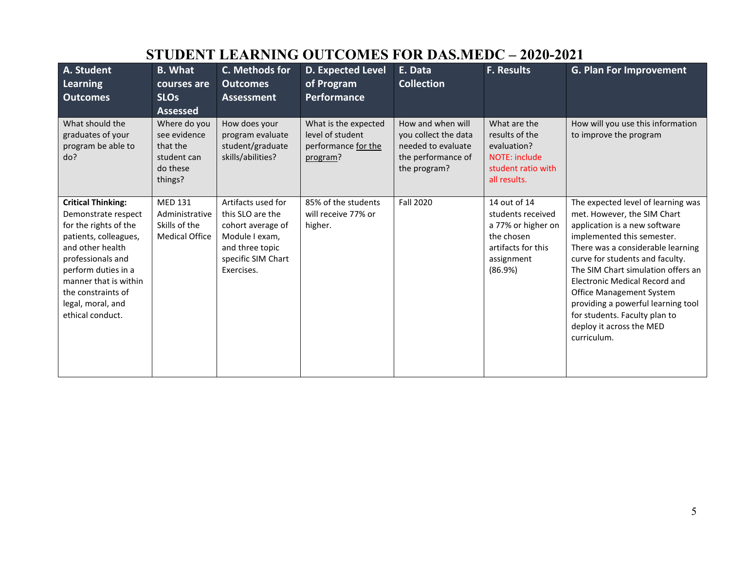| <b>STUDENT LEARNING OUTCOMES FOR DAS.MEDC - 2020-2021</b>                                                                                                                                                                                                  |                                                                                |                                                                                                                                      |                                                                             |                                                                                                       |                                                                                                                      |                                                                                                                                                                                                                                                                                                                                                                                                                                             |
|------------------------------------------------------------------------------------------------------------------------------------------------------------------------------------------------------------------------------------------------------------|--------------------------------------------------------------------------------|--------------------------------------------------------------------------------------------------------------------------------------|-----------------------------------------------------------------------------|-------------------------------------------------------------------------------------------------------|----------------------------------------------------------------------------------------------------------------------|---------------------------------------------------------------------------------------------------------------------------------------------------------------------------------------------------------------------------------------------------------------------------------------------------------------------------------------------------------------------------------------------------------------------------------------------|
| A. Student<br><b>Learning</b><br><b>Outcomes</b>                                                                                                                                                                                                           | <b>B.</b> What<br>courses are<br><b>SLOs</b><br><b>Assessed</b>                | C. Methods for<br><b>Outcomes</b><br><b>Assessment</b>                                                                               | D. Expected Level<br>of Program<br>Performance                              | E. Data<br><b>Collection</b>                                                                          | <b>F. Results</b>                                                                                                    | <b>G. Plan For Improvement</b>                                                                                                                                                                                                                                                                                                                                                                                                              |
| What should the<br>graduates of your<br>program be able to<br>do?                                                                                                                                                                                          | Where do you<br>see evidence<br>that the<br>student can<br>do these<br>things? | How does your<br>program evaluate<br>student/graduate<br>skills/abilities?                                                           | What is the expected<br>level of student<br>performance for the<br>program? | How and when will<br>you collect the data<br>needed to evaluate<br>the performance of<br>the program? | What are the<br>results of the<br>evaluation?<br>NOTE: include<br>student ratio with<br>all results.                 | How will you use this information<br>to improve the program                                                                                                                                                                                                                                                                                                                                                                                 |
| <b>Critical Thinking:</b><br>Demonstrate respect<br>for the rights of the<br>patients, colleagues,<br>and other health<br>professionals and<br>perform duties in a<br>manner that is within<br>the constraints of<br>legal, moral, and<br>ethical conduct. | <b>MED 131</b><br>Administrative<br>Skills of the<br><b>Medical Office</b>     | Artifacts used for<br>this SLO are the<br>cohort average of<br>Module I exam,<br>and three topic<br>specific SIM Chart<br>Exercises. | 85% of the students<br>will receive 77% or<br>higher.                       | <b>Fall 2020</b>                                                                                      | 14 out of 14<br>students received<br>a 77% or higher on<br>the chosen<br>artifacts for this<br>assignment<br>(86.9%) | The expected level of learning was<br>met. However, the SIM Chart<br>application is a new software<br>implemented this semester.<br>There was a considerable learning<br>curve for students and faculty.<br>The SIM Chart simulation offers an<br><b>Electronic Medical Record and</b><br><b>Office Management System</b><br>providing a powerful learning tool<br>for students. Faculty plan to<br>deploy it across the MED<br>curriculum. |

#### 5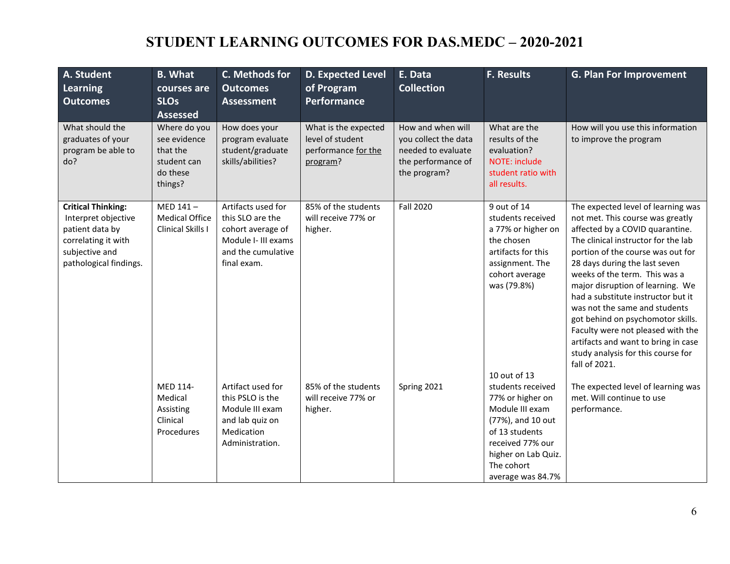# **STUDENT LEARNING OUTCOMES FOR DAS.MEDC – 2020-2021**

| A. Student<br><b>Learning</b><br><b>Outcomes</b>                                                                                       | <b>B.</b> What<br>courses are<br><b>SLOs</b><br><b>Assessed</b>                | C. Methods for<br><b>Outcomes</b><br><b>Assessment</b>                                                                  | <b>D. Expected Level</b><br>of Program<br>Performance                       | E. Data<br><b>Collection</b>                                                                          | <b>F. Results</b>                                                                                                                                                             | <b>G. Plan For Improvement</b>                                                                                                                                                                                                                                                                                                                                                                                                                                                                                                             |
|----------------------------------------------------------------------------------------------------------------------------------------|--------------------------------------------------------------------------------|-------------------------------------------------------------------------------------------------------------------------|-----------------------------------------------------------------------------|-------------------------------------------------------------------------------------------------------|-------------------------------------------------------------------------------------------------------------------------------------------------------------------------------|--------------------------------------------------------------------------------------------------------------------------------------------------------------------------------------------------------------------------------------------------------------------------------------------------------------------------------------------------------------------------------------------------------------------------------------------------------------------------------------------------------------------------------------------|
| What should the<br>graduates of your<br>program be able to<br>do?                                                                      | Where do you<br>see evidence<br>that the<br>student can<br>do these<br>things? | How does your<br>program evaluate<br>student/graduate<br>skills/abilities?                                              | What is the expected<br>level of student<br>performance for the<br>program? | How and when will<br>you collect the data<br>needed to evaluate<br>the performance of<br>the program? | What are the<br>results of the<br>evaluation?<br><b>NOTE: include</b><br>student ratio with<br>all results.                                                                   | How will you use this information<br>to improve the program                                                                                                                                                                                                                                                                                                                                                                                                                                                                                |
| <b>Critical Thinking:</b><br>Interpret objective<br>patient data by<br>correlating it with<br>subjective and<br>pathological findings. | MED 141-<br><b>Medical Office</b><br>Clinical Skills I                         | Artifacts used for<br>this SLO are the<br>cohort average of<br>Module I- III exams<br>and the cumulative<br>final exam. | 85% of the students<br>will receive 77% or<br>higher.                       | <b>Fall 2020</b>                                                                                      | 9 out of 14<br>students received<br>a 77% or higher on<br>the chosen<br>artifacts for this<br>assignment. The<br>cohort average<br>was (79.8%)<br>10 out of 13                | The expected level of learning was<br>not met. This course was greatly<br>affected by a COVID quarantine.<br>The clinical instructor for the lab<br>portion of the course was out for<br>28 days during the last seven<br>weeks of the term. This was a<br>major disruption of learning. We<br>had a substitute instructor but it<br>was not the same and students<br>got behind on psychomotor skills.<br>Faculty were not pleased with the<br>artifacts and want to bring in case<br>study analysis for this course for<br>fall of 2021. |
|                                                                                                                                        | MED 114-<br>Medical<br>Assisting<br>Clinical<br>Procedures                     | Artifact used for<br>this PSLO is the<br>Module III exam<br>and lab quiz on<br>Medication<br>Administration.            | 85% of the students<br>will receive 77% or<br>higher.                       | Spring 2021                                                                                           | students received<br>77% or higher on<br>Module III exam<br>(77%), and 10 out<br>of 13 students<br>received 77% our<br>higher on Lab Quiz.<br>The cohort<br>average was 84.7% | The expected level of learning was<br>met. Will continue to use<br>performance.                                                                                                                                                                                                                                                                                                                                                                                                                                                            |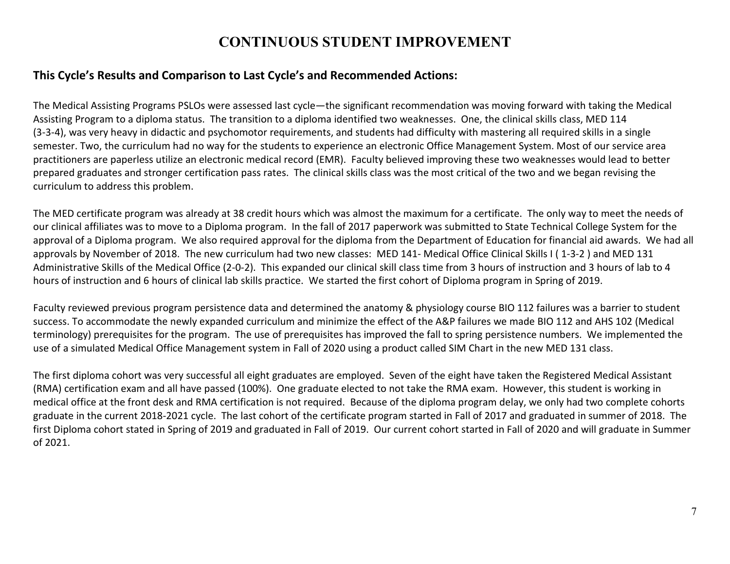### **CONTINUOUS STUDENT IMPROVEMENT**

#### **This Cycle's Results and Comparison to Last Cycle's and Recommended Actions:**

The Medical Assisting Programs PSLOs were assessed last cycle—the significant recommendation was moving forward with taking the Medical Assisting Program to a diploma status. The transition to a diploma identified two weaknesses. One, the clinical skills class, MED 114 (3-3-4), was very heavy in didactic and psychomotor requirements, and students had difficulty with mastering all required skills in a single semester. Two, the curriculum had no way for the students to experience an electronic Office Management System. Most of our service area practitioners are paperless utilize an electronic medical record (EMR). Faculty believed improving these two weaknesses would lead to better prepared graduates and stronger certification pass rates. The clinical skills class was the most critical of the two and we began revising the curriculum to address this problem.

The MED certificate program was already at 38 credit hours which was almost the maximum for a certificate. The only way to meet the needs of our clinical affiliates was to move to a Diploma program. In the fall of 2017 paperwork was submitted to State Technical College System for the approval of a Diploma program. We also required approval for the diploma from the Department of Education for financial aid awards. We had all approvals by November of 2018. The new curriculum had two new classes: MED 141- Medical Office Clinical Skills I ( 1-3-2 ) and MED 131 Administrative Skills of the Medical Office (2-0-2). This expanded our clinical skill class time from 3 hours of instruction and 3 hours of lab to 4 hours of instruction and 6 hours of clinical lab skills practice. We started the first cohort of Diploma program in Spring of 2019.

Faculty reviewed previous program persistence data and determined the anatomy & physiology course BIO 112 failures was a barrier to student success. To accommodate the newly expanded curriculum and minimize the effect of the A&P failures we made BIO 112 and AHS 102 (Medical terminology) prerequisites for the program. The use of prerequisites has improved the fall to spring persistence numbers. We implemented the use of a simulated Medical Office Management system in Fall of 2020 using a product called SIM Chart in the new MED 131 class.

The first diploma cohort was very successful all eight graduates are employed. Seven of the eight have taken the Registered Medical Assistant (RMA) certification exam and all have passed (100%). One graduate elected to not take the RMA exam. However, this student is working in medical office at the front desk and RMA certification is not required. Because of the diploma program delay, we only had two complete cohorts graduate in the current 2018-2021 cycle. The last cohort of the certificate program started in Fall of 2017 and graduated in summer of 2018. The first Diploma cohort stated in Spring of 2019 and graduated in Fall of 2019. Our current cohort started in Fall of 2020 and will graduate in Summer of 2021.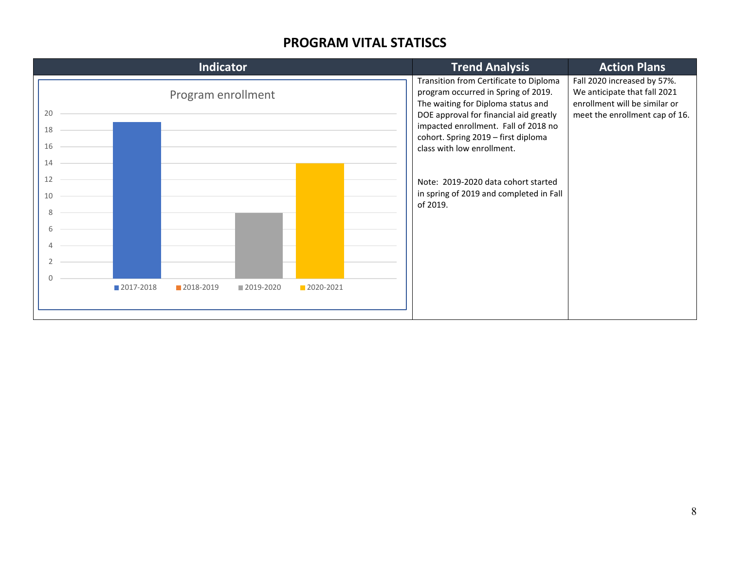### **PROGRAM VITAL STATISCS**

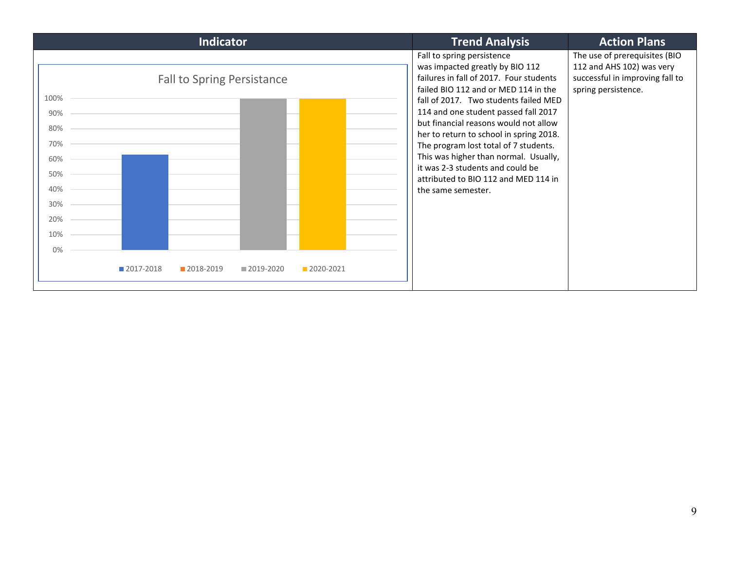| <b>Indicator</b>                                                                                               | <b>Trend Analysis</b>                                                                                                                                                                                                                                                                                                                                                                                                                                                                                     | <b>Action Plans</b>                                                                                                  |
|----------------------------------------------------------------------------------------------------------------|-----------------------------------------------------------------------------------------------------------------------------------------------------------------------------------------------------------------------------------------------------------------------------------------------------------------------------------------------------------------------------------------------------------------------------------------------------------------------------------------------------------|----------------------------------------------------------------------------------------------------------------------|
| <b>Fall to Spring Persistance</b><br>100%<br>90%<br>80%<br>70%<br>60%<br>50%<br>40%<br>30%<br>20%<br>10%<br>0% | Fall to spring persistence<br>was impacted greatly by BIO 112<br>failures in fall of 2017. Four students<br>failed BIO 112 and or MED 114 in the<br>fall of 2017. Two students failed MED<br>114 and one student passed fall 2017<br>but financial reasons would not allow<br>her to return to school in spring 2018.<br>The program lost total of 7 students.<br>This was higher than normal. Usually,<br>it was 2-3 students and could be<br>attributed to BIO 112 and MED 114 in<br>the same semester. | The use of prerequisites (BIO<br>112 and AHS 102) was very<br>successful in improving fall to<br>spring persistence. |
| 2017-2018<br>2018-2019<br>2020-2021<br>2019-2020                                                               |                                                                                                                                                                                                                                                                                                                                                                                                                                                                                                           |                                                                                                                      |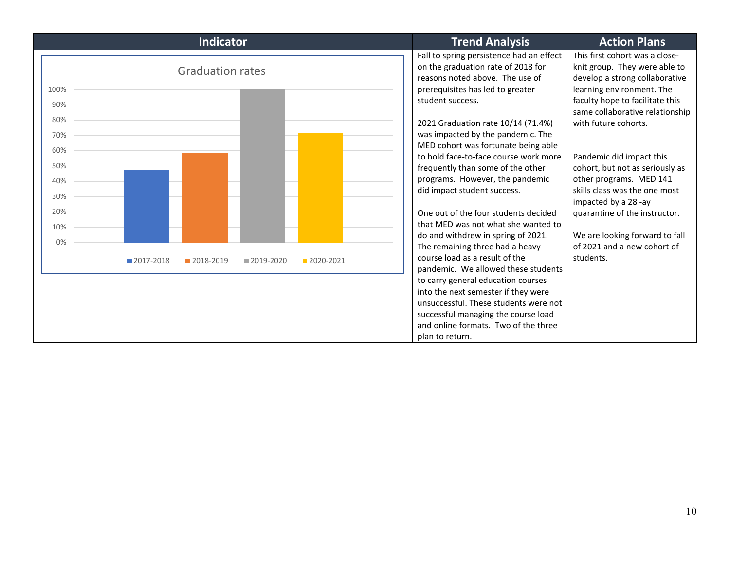| <b>Indicator</b>                                   | <b>Trend Analysis</b>                                                                                                                                 | <b>Action Plans</b>                                                                                                            |
|----------------------------------------------------|-------------------------------------------------------------------------------------------------------------------------------------------------------|--------------------------------------------------------------------------------------------------------------------------------|
| <b>Graduation rates</b><br>100%                    | Fall to spring persistence had an effect<br>on the graduation rate of 2018 for<br>reasons noted above. The use of<br>prerequisites has led to greater | This first cohort was a close-<br>knit group. They were able to<br>develop a strong collaborative<br>learning environment. The |
| 90%                                                | student success.                                                                                                                                      | faculty hope to facilitate this<br>same collaborative relationship                                                             |
| 80%<br>70%                                         | 2021 Graduation rate 10/14 (71.4%)<br>was impacted by the pandemic. The                                                                               | with future cohorts.                                                                                                           |
| 60%                                                | MED cohort was fortunate being able<br>to hold face-to-face course work more                                                                          | Pandemic did impact this                                                                                                       |
| 50%<br>40%                                         | frequently than some of the other<br>programs. However, the pandemic                                                                                  | cohort, but not as seriously as<br>other programs. MED 141                                                                     |
| 30%                                                | did impact student success.                                                                                                                           | skills class was the one most<br>impacted by a 28 -ay                                                                          |
| 20%<br>10%                                         | One out of the four students decided<br>that MED was not what she wanted to                                                                           | quarantine of the instructor.                                                                                                  |
| 0%                                                 | do and withdrew in spring of 2021.<br>The remaining three had a heavy                                                                                 | We are looking forward to fall<br>of 2021 and a new cohort of                                                                  |
| 2017-2018<br>2018-2019<br>■ 2019-2020<br>2020-2021 | course load as a result of the<br>pandemic. We allowed these students                                                                                 | students.                                                                                                                      |
|                                                    | to carry general education courses<br>into the next semester if they were                                                                             |                                                                                                                                |
|                                                    | unsuccessful. These students were not<br>successful managing the course load                                                                          |                                                                                                                                |
|                                                    | and online formats. Two of the three<br>plan to return.                                                                                               |                                                                                                                                |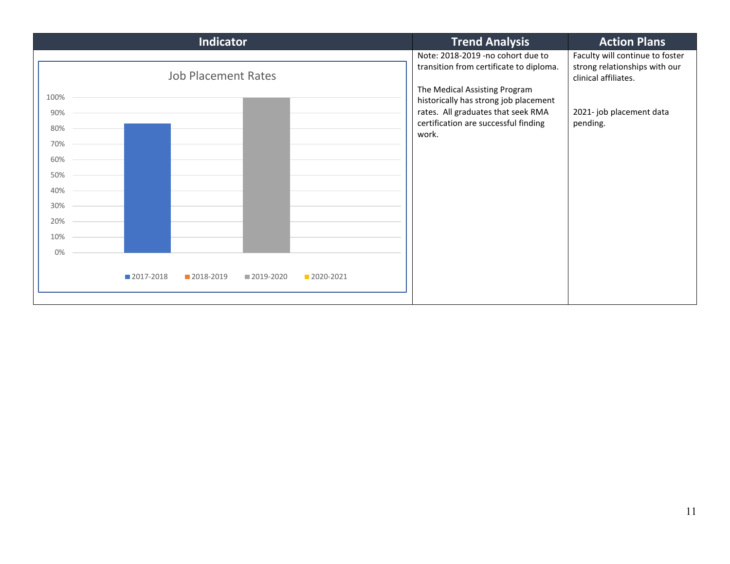| Indicator                                                                                         | <b>Trend Analysis</b>                                                                                                                                                                                                                         | <b>Action Plans</b>                                                                                                              |
|---------------------------------------------------------------------------------------------------|-----------------------------------------------------------------------------------------------------------------------------------------------------------------------------------------------------------------------------------------------|----------------------------------------------------------------------------------------------------------------------------------|
| <b>Job Placement Rates</b><br>100%<br>90%<br>80%<br>70%<br>60%<br>50%<br>40%<br>30%<br>20%<br>10% | Note: 2018-2019 -no cohort due to<br>transition from certificate to diploma.<br>The Medical Assisting Program<br>historically has strong job placement<br>rates. All graduates that seek RMA<br>certification are successful finding<br>work. | Faculty will continue to foster<br>strong relationships with our<br>clinical affiliates.<br>2021- job placement data<br>pending. |
| 0%<br>2017-2018<br>2018-2019<br>2019-2020<br>2020-2021                                            |                                                                                                                                                                                                                                               |                                                                                                                                  |
|                                                                                                   |                                                                                                                                                                                                                                               |                                                                                                                                  |